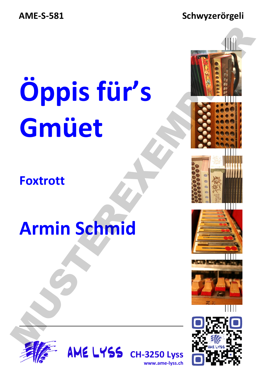**AME-S-581** 

#### Schwyzerörgeli

# Öppis für's Gmüet

**Foxtrott** 

### **Armin Schmid**